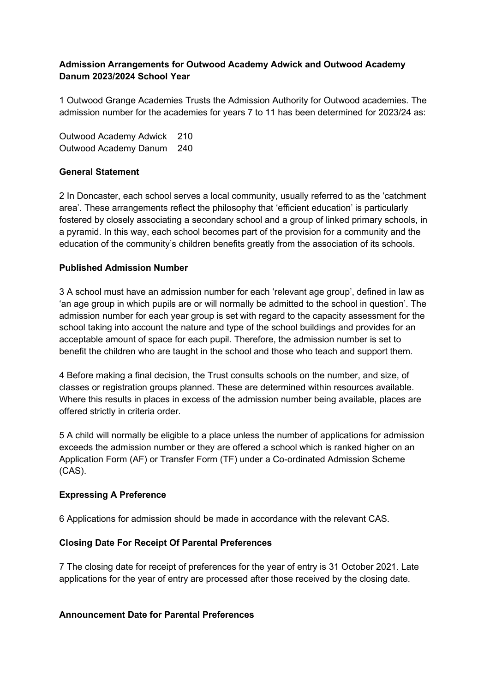# **Admission Arrangements for Outwood Academy Adwick and Outwood Academy Danum 2023/2024 School Year**

1 Outwood Grange Academies Trusts the Admission Authority for Outwood academies. The admission number for the academies for years 7 to 11 has been determined for 2023/24 as:

Outwood Academy Adwick 210 Outwood Academy Danum 240

## **General Statement**

2 In Doncaster, each school serves a local community, usually referred to as the 'catchment area'. These arrangements reflect the philosophy that 'efficient education' is particularly fostered by closely associating a secondary school and a group of linked primary schools, in a pyramid. In this way, each school becomes part of the provision for a community and the education of the community's children benefits greatly from the association of its schools.

## **Published Admission Number**

3 A school must have an admission number for each 'relevant age group', defined in law as 'an age group in which pupils are or will normally be admitted to the school in question'. The admission number for each year group is set with regard to the capacity assessment for the school taking into account the nature and type of the school buildings and provides for an acceptable amount of space for each pupil. Therefore, the admission number is set to benefit the children who are taught in the school and those who teach and support them.

4 Before making a final decision, the Trust consults schools on the number, and size, of classes or registration groups planned. These are determined within resources available. Where this results in places in excess of the admission number being available, places are offered strictly in criteria order.

5 A child will normally be eligible to a place unless the number of applications for admission exceeds the admission number or they are offered a school which is ranked higher on an Application Form (AF) or Transfer Form (TF) under a Co-ordinated Admission Scheme (CAS).

### **Expressing A Preference**

6 Applications for admission should be made in accordance with the relevant CAS.

### **Closing Date For Receipt Of Parental Preferences**

7 The closing date for receipt of preferences for the year of entry is 31 October 2021. Late applications for the year of entry are processed after those received by the closing date.

### **Announcement Date for Parental Preferences**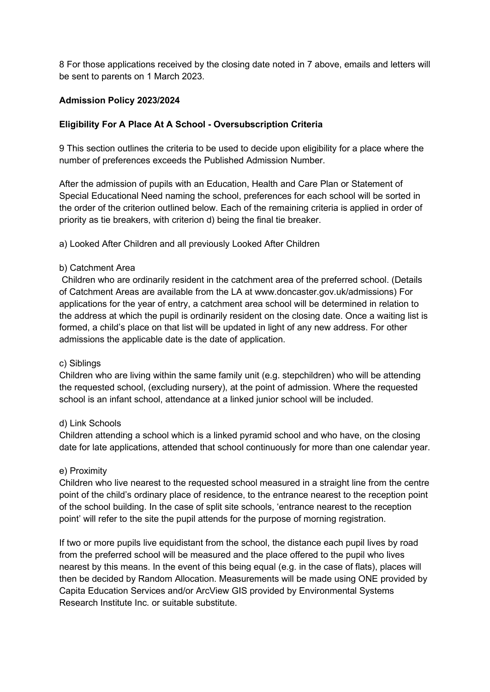8 For those applications received by the closing date noted in 7 above, emails and letters will be sent to parents on 1 March 2023.

## **Admission Policy 2023/2024**

## **Eligibility For A Place At A School - Oversubscription Criteria**

9 This section outlines the criteria to be used to decide upon eligibility for a place where the number of preferences exceeds the Published Admission Number.

After the admission of pupils with an Education, Health and Care Plan or Statement of Special Educational Need naming the school, preferences for each school will be sorted in the order of the criterion outlined below. Each of the remaining criteria is applied in order of priority as tie breakers, with criterion d) being the final tie breaker.

a) Looked After Children and all previously Looked After Children

#### b) Catchment Area

Children who are ordinarily resident in the catchment area of the preferred school. (Details of Catchment Areas are available from the LA at www.doncaster.gov.uk/admissions) For applications for the year of entry, a catchment area school will be determined in relation to the address at which the pupil is ordinarily resident on the closing date. Once a waiting list is formed, a child's place on that list will be updated in light of any new address. For other admissions the applicable date is the date of application.

### c) Siblings

Children who are living within the same family unit (e.g. stepchildren) who will be attending the requested school, (excluding nursery), at the point of admission. Where the requested school is an infant school, attendance at a linked junior school will be included.

### d) Link Schools

Children attending a school which is a linked pyramid school and who have, on the closing date for late applications, attended that school continuously for more than one calendar year.

### e) Proximity

Children who live nearest to the requested school measured in a straight line from the centre point of the child's ordinary place of residence, to the entrance nearest to the reception point of the school building. In the case of split site schools, 'entrance nearest to the reception point' will refer to the site the pupil attends for the purpose of morning registration.

If two or more pupils live equidistant from the school, the distance each pupil lives by road from the preferred school will be measured and the place offered to the pupil who lives nearest by this means. In the event of this being equal (e.g. in the case of flats), places will then be decided by Random Allocation. Measurements will be made using ONE provided by Capita Education Services and/or ArcView GIS provided by Environmental Systems Research Institute Inc. or suitable substitute.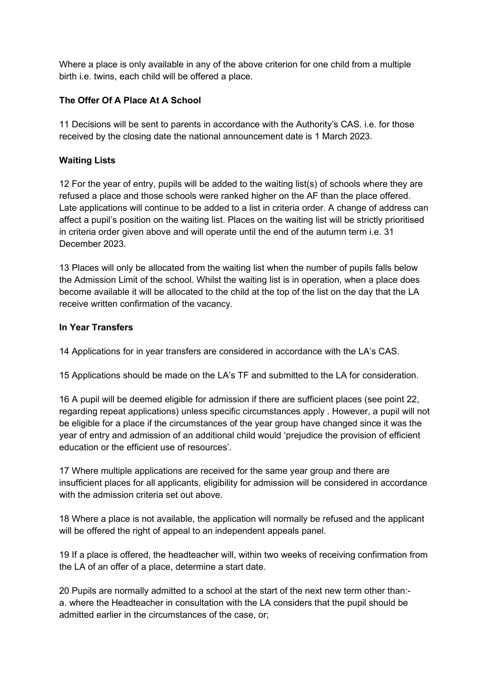Where a place is only available in any of the above criterion for one child from a multiple birth i.e. twins, each child will be offered a place.

# **The Offer Of A Place At A School**

11 Decisions will be sent to parents in accordance with the Authority's CAS. i.e. for those received by the closing date the national announcement date is 1 March 2023.

# **Waiting Lists**

12 For the year of entry, pupils will be added to the waiting list(s) of schools where they are refused a place and those schools were ranked higher on the AF than the place offered. Late applications will continue to be added to a list in criteria order. A change of address can affect a pupil's position on the waiting list. Places on the waiting list will be strictly prioritised in criteria order given above and will operate until the end of the autumn term i.e. 31 December 2023.

13 Places will only be allocated from the waiting list when the number of pupils falls below the Admission Limit of the school. Whilst the waiting list is in operation, when a place does become available it will be allocated to the child at the top of the list on the day that the LA receive written confirmation of the vacancy.

# **In Year Transfers**

14 Applications for in year transfers are considered in accordance with the LA's CAS.

15 Applications should be made on the LA's TF and submitted to the LA for consideration.

16 A pupil will be deemed eligible for admission if there are sufficient places (see point 22, regarding repeat applications) unless specific circumstances apply . However, a pupil will not be eligible for a place if the circumstances of the year group have changed since it was the year of entry and admission of an additional child would 'prejudice the provision of efficient education or the efficient use of resources'.

17 Where multiple applications are received for the same year group and there are insufficient places for all applicants, eligibility for admission will be considered in accordance with the admission criteria set out above

18 Where a place is not available, the application will normally be refused and the applicant will be offered the right of appeal to an independent appeals panel.

19 If a place is offered, the headteacher will, within two weeks of receiving confirmation from the LA of an offer of a place, determine a start date.

20 Pupils are normally admitted to a school at the start of the next new term other than: a. where the Headteacher in consultation with the LA considers that the pupil should be admitted earlier in the circumstances of the case, or;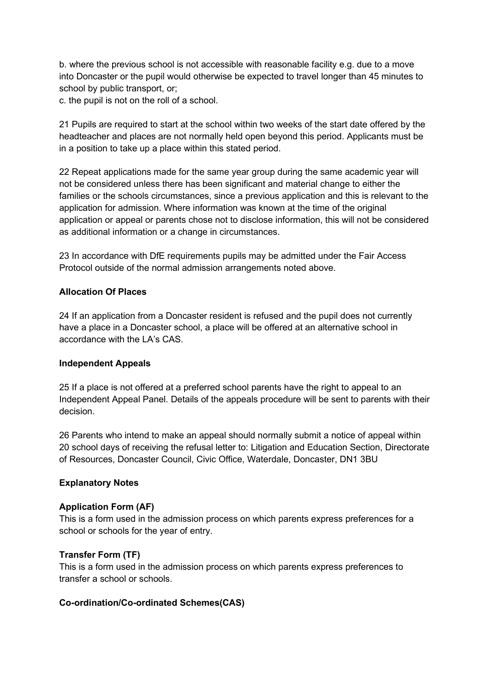b. where the previous school is not accessible with reasonable facility e.g. due to a move into Doncaster or the pupil would otherwise be expected to travel longer than 45 minutes to school by public transport, or;

c. the pupil is not on the roll of a school.

21 Pupils are required to start at the school within two weeks of the start date offered by the headteacher and places are not normally held open beyond this period. Applicants must be in a position to take up a place within this stated period.

22 Repeat applications made for the same year group during the same academic year will not be considered unless there has been significant and material change to either the families or the schools circumstances, since a previous application and this is relevant to the application for admission. Where information was known at the time of the original application or appeal or parents chose not to disclose information, this will not be considered as additional information or a change in circumstances.

23 In accordance with DfE requirements pupils may be admitted under the Fair Access Protocol outside of the normal admission arrangements noted above.

## **Allocation Of Places**

24 If an application from a Doncaster resident is refused and the pupil does not currently have a place in a Doncaster school, a place will be offered at an alternative school in accordance with the LA's CAS.

### **Independent Appeals**

25 If a place is not offered at a preferred school parents have the right to appeal to an Independent Appeal Panel. Details of the appeals procedure will be sent to parents with their decision.

26 Parents who intend to make an appeal should normally submit a notice of appeal within 20 school days of receiving the refusal letter to: Litigation and Education Section, Directorate of Resources, Doncaster Council, Civic Office, Waterdale, Doncaster, DN1 3BU

### **Explanatory Notes**

### **Application Form (AF)**

This is a form used in the admission process on which parents express preferences for a school or schools for the year of entry.

# **Transfer Form (TF)**

This is a form used in the admission process on which parents express preferences to transfer a school or schools.

### **Co-ordination/Co-ordinated Schemes(CAS)**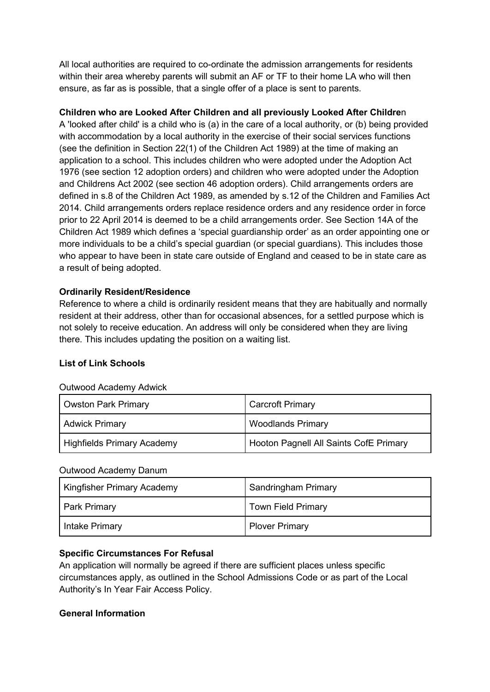All local authorities are required to co-ordinate the admission arrangements for residents within their area whereby parents will submit an AF or TF to their home LA who will then ensure, as far as is possible, that a single offer of a place is sent to parents.

# **Children who are Looked After Children and all previously Looked After Childre**n

A 'looked after child' is a child who is (a) in the care of a local authority, or (b) being provided with accommodation by a local authority in the exercise of their social services functions (see the definition in Section 22(1) of the Children Act 1989) at the time of making an application to a school. This includes children who were adopted under the Adoption Act 1976 (see section 12 adoption orders) and children who were adopted under the Adoption and Childrens Act 2002 (see section 46 adoption orders). Child arrangements orders are defined in s.8 of the Children Act 1989, as amended by s.12 of the Children and Families Act 2014. Child arrangements orders replace residence orders and any residence order in force prior to 22 April 2014 is deemed to be a child arrangements order. See Section 14A of the Children Act 1989 which defines a 'special guardianship order' as an order appointing one or more individuals to be a child's special guardian (or special guardians). This includes those who appear to have been in state care outside of England and ceased to be in state care as a result of being adopted.

## **Ordinarily Resident/Residence**

Reference to where a child is ordinarily resident means that they are habitually and normally resident at their address, other than for occasional absences, for a settled purpose which is not solely to receive education. An address will only be considered when they are living there. This includes updating the position on a waiting list.

# **List of Link Schools**

| <b>Owston Park Primary</b>        | <b>Carcroft Primary</b>                |
|-----------------------------------|----------------------------------------|
| <b>Adwick Primary</b>             | <b>Woodlands Primary</b>               |
| <b>Highfields Primary Academy</b> | Hooton Pagnell All Saints CofE Primary |

#### Outwood Academy Adwick

#### Outwood Academy Danum

| <b>Kingfisher Primary Academy</b> | Sandringham Primary       |
|-----------------------------------|---------------------------|
| <b>Park Primary</b>               | <b>Town Field Primary</b> |
| <b>Intake Primary</b>             | <b>Plover Primary</b>     |

### **Specific Circumstances For Refusal**

An application will normally be agreed if there are sufficient places unless specific circumstances apply, as outlined in the School Admissions Code or as part of the Local Authority's In Year Fair Access Policy.

### **General Information**